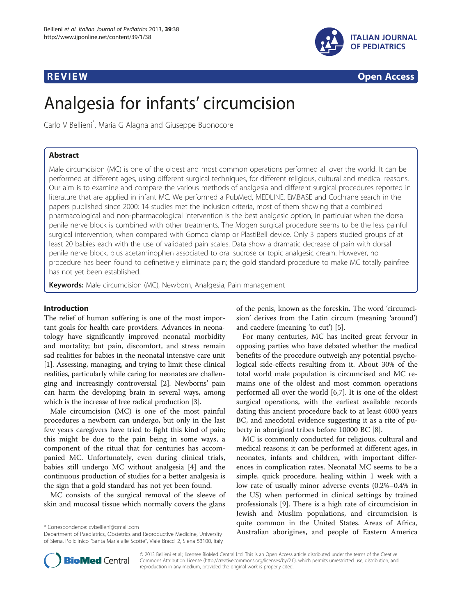

**REVIEW CONSTRUCTION CONSTRUCTION CONSTRUCTION CONSTRUCTS** 

# Analgesia for infants' circumcision

Carlo V Bellieni\* , Maria G Alagna and Giuseppe Buonocore

# Abstract

Male circumcision (MC) is one of the oldest and most common operations performed all over the world. It can be performed at different ages, using different surgical techniques, for different religious, cultural and medical reasons. Our aim is to examine and compare the various methods of analgesia and different surgical procedures reported in literature that are applied in infant MC. We performed a PubMed, MEDLINE, EMBASE and Cochrane search in the papers published since 2000: 14 studies met the inclusion criteria, most of them showing that a combined pharmacological and non-pharmacological intervention is the best analgesic option, in particular when the dorsal penile nerve block is combined with other treatments. The Mogen surgical procedure seems to be the less painful surgical intervention, when compared with Gomco clamp or PlastiBell device. Only 3 papers studied groups of at least 20 babies each with the use of validated pain scales. Data show a dramatic decrease of pain with dorsal penile nerve block, plus acetaminophen associated to oral sucrose or topic analgesic cream. However, no procedure has been found to definetively eliminate pain; the gold standard procedure to make MC totally painfree has not yet been established.

Keywords: Male circumcision (MC), Newborn, Analgesia, Pain management

# Introduction

The relief of human suffering is one of the most important goals for health care providers. Advances in neonatology have significantly improved neonatal morbidity and mortality; but pain, discomfort, and stress remain sad realities for babies in the neonatal intensive care unit [[1\]](#page-5-0). Assessing, managing, and trying to limit these clinical realities, particularly while caring for neonates are challenging and increasingly controversial [\[2](#page-5-0)]. Newborns' pain can harm the developing brain in several ways, among which is the increase of free radical production [[3\]](#page-5-0).

Male circumcision (MC) is one of the most painful procedures a newborn can undergo, but only in the last few years caregivers have tried to fight this kind of pain; this might be due to the pain being in some ways, a component of the ritual that for centuries has accompanied MC. Unfortunately, even during clinical trials, babies still undergo MC without analgesia [\[4](#page-5-0)] and the continuous production of studies for a better analgesia is the sign that a gold standard has not yet been found.

MC consists of the surgical removal of the sleeve of skin and mucosal tissue which normally covers the glans

of the penis, known as the foreskin. The word 'circumcision' derives from the Latin circum (meaning 'around') and caedere (meaning 'to cut') [\[5](#page-5-0)].

For many centuries, MC has incited great fervour in opposing parties who have debated whether the medical benefits of the procedure outweigh any potential psychological side-effects resulting from it. About 30% of the total world male population is circumcised and MC remains one of the oldest and most common operations performed all over the world [[6,7\]](#page-5-0). It is one of the oldest surgical operations, with the earliest available records dating this ancient procedure back to at least 6000 years BC, and anecdotal evidence suggesting it as a rite of puberty in aboriginal tribes before 10000 BC [\[8](#page-5-0)].

MC is commonly conducted for religious, cultural and medical reasons; it can be performed at different ages, in neonates, infants and children, with important differences in complication rates. Neonatal MC seems to be a simple, quick procedure, healing within 1 week with a low rate of usually minor adverse events (0.2%–0.4% in the US) when performed in clinical settings by trained professionals [\[9\]](#page-5-0). There is a high rate of circumcision in Jewish and Muslim populations, and circumcision is quite common in the United States. Areas of Africa, \* Correspondence: [cvbellieni@gmail.com](mailto:cvbellieni@gmail.com)<br>Department of Paediatrics, Obstetrics and Reproductive Medicine, University **Australian aborigines, and people of Eastern America** 



© 2013 Bellieni et al.; licensee BioMed Central Ltd. This is an Open Access article distributed under the terms of the Creative Commons Attribution License [\(http://creativecommons.org/licenses/by/2.0\)](http://creativecommons.org/licenses/by/2.0), which permits unrestricted use, distribution, and reproduction in any medium, provided the original work is properly cited.

Department of Paediatrics, Obstetrics and Reproductive Medicine, University of Siena, Policlinico "Santa Maria alle Scotte", Viale Bracci 2, Siena 53100, Italy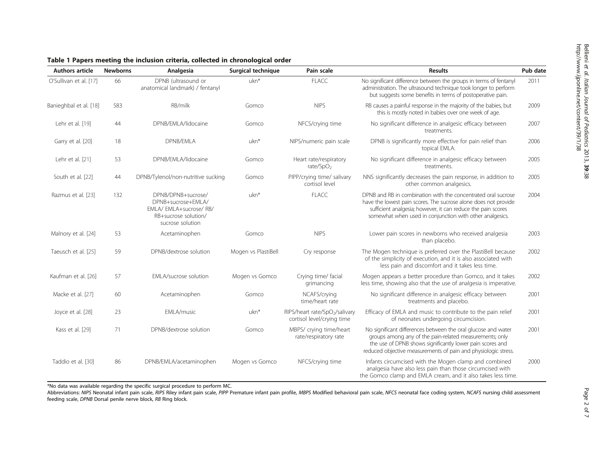| <b>Authors article</b> | <b>Newborns</b> | Analgesia                                                                                                     | Surgical technique  | Pain scale                                                               | <b>Results</b>                                                                                                                                                                                                                                               | Pub date |
|------------------------|-----------------|---------------------------------------------------------------------------------------------------------------|---------------------|--------------------------------------------------------------------------|--------------------------------------------------------------------------------------------------------------------------------------------------------------------------------------------------------------------------------------------------------------|----------|
| O'Sullivan et al. [17] | 66              | DPNB (ultrasound or<br>anatomical landmark) / fentanyl                                                        | ukn <sup>*</sup>    | <b>FLACC</b>                                                             | No significant difference between the groups in terms of fentanyl<br>administration. The ultrasound technique took longer to perform<br>but suggests some benefits in terms of postoperative pain.                                                           | 2011     |
| Banieghbal et al. [18] | 583             | RB/milk                                                                                                       | Gomco               | <b>NIPS</b>                                                              | RB causes a painful response in the majority of the babies, but<br>this is mostly noted in babies over one week of age.                                                                                                                                      | 2009     |
| Lehr et al. [19]       | 44              | DPNB/EMLA/lidocaine                                                                                           | Gomco               | NFCS/crying time                                                         | No significant difference in analgesic efficacy between<br>treatments.                                                                                                                                                                                       | 2007     |
| Garry et al. [20]      | 18              | <b>DPNB/EMLA</b>                                                                                              | ukn*                | NIPS/numeric pain scale                                                  | DPNB is significantly more effective for pain relief than<br>topical EMLA.                                                                                                                                                                                   | 2006     |
| Lehr et al. [21]       | 53              | DPNB/EMLA/lidocaine                                                                                           | Gomco               | Heart rate/respiratory<br>rate/SpO <sub>2</sub>                          | No significant difference in analgesic efficacy between<br>treatments.                                                                                                                                                                                       | 2005     |
| South et al. [22]      | 44              | DPNB/Tylenol/non-nutritive sucking                                                                            | Gomco               | PIPP/crying time/ salivary<br>cortisol level                             | NNS significantly decreases the pain response, in addition to<br>other common analgesics.                                                                                                                                                                    | 2005     |
| Razmus et al. [23]     | 132             | DPNB/DPNB+sucrose/<br>DPNB+sucrose+EMLA/<br>EMLA/EMLA+sucrose/RB/<br>RB+sucrose solution/<br>sucrose solution | ukn <sup>*</sup>    | <b>FLACC</b>                                                             | DPNB and RB in combination with the concentrated oral sucrose<br>have the lowest pain scores. The sucrose alone does not provide<br>sufficient analgesia; however, it can reduce the pain scores<br>somewhat when used in conjunction with other analgesics. | 2004     |
| Malnory et al. [24]    | 53              | Acetaminophen                                                                                                 | Gomco               | <b>NIPS</b>                                                              | Lower pain scores in newborns who received analgesia<br>than placebo.                                                                                                                                                                                        | 2003     |
| Taeusch et al. [25]    | 59              | DPNB/dextrose solution                                                                                        | Mogen vs PlastiBell | Cry response                                                             | The Mogen technique is preferred over the PlastiBell because<br>of the simplicity of execution, and it is also associated with<br>less pain and discomfort and it takes less time.                                                                           | 2002     |
| Kaufman et al. [26]    | 57              | EMLA/sucrose solution                                                                                         | Mogen vs Gomco      | Crying time/ facial<br>grimancing                                        | Mogen appears a better procedure than Gomco, and it takes<br>less time, showing also that the use of analgesia is imperative.                                                                                                                                | 2002     |
| Macke et al. [27]      | 60              | Acetaminophen                                                                                                 | Gomco               | NCAFS/crying<br>time/heart rate                                          | No significant difference in analgesic efficacy between<br>treatments and placebo.                                                                                                                                                                           | 2001     |
| Joyce et al. [28]      | 23              | EMLA/music                                                                                                    | ukn*                | RIPS/heart rate/SpO <sub>2</sub> /salivary<br>cortisol level/crying time | Efficacy of EMLA and music to contribute to the pain relief<br>of neonates undergoing circumcision.                                                                                                                                                          | 2001     |
| Kass et al. [29]       | 71              | DPNB/dextrose solution                                                                                        | Gomco               | MBPS/ crying time/heart<br>rate/respiratory rate                         | No significant differences between the oral glucose and water<br>groups among any of the pain-related measurements; only<br>the use of DPNB shows significantly lower pain scores and<br>reduced objective measurements of pain and physiologic stress.      | 2001     |
| Taddio et al. [30]     | 86              | DPNB/EMLA/acetaminophen                                                                                       | Mogen vs Gomco      | NFCS/crying time                                                         | Infants circumcised with the Mogen clamp and combined<br>analgesia have also less pain than those circumcised with<br>the Gomco clamp and EMLA cream, and it also takes less time.                                                                           | 2000     |

# <span id="page-1-0"></span>Table 1 Papers meeting the inclusion criteria, collected in chronological order

\*No data was available regarding the specific surgical procedure to perform MC.

Abbreviations: NIPS Neonatal infant pain scale, RIPS Riley infant pain scale, PIPP Premature infant pain profile, MBPS Modified behavioral pain scale, NFCS neonatal face coding system, NCAFS nursing child assessment feeding scale, DPNB Dorsal penile nerve block, RB Ring block.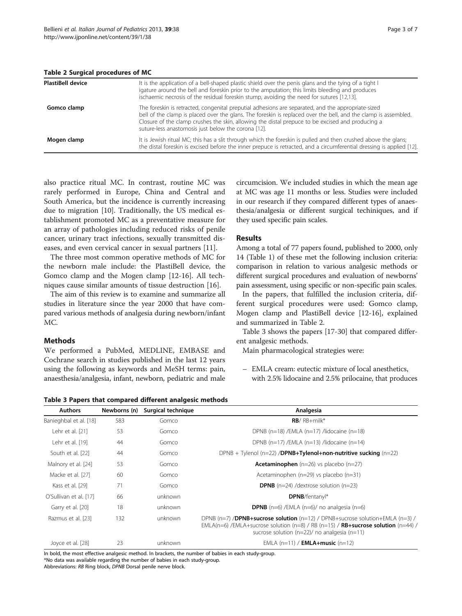| <b>PlastiBell device</b> | It is the application of a bell-shaped plastic shield over the penis glans and the tying of a tight I<br>igature around the bell and foreskin prior to the amputation; this limits bleeding and produces<br>ischaemic necrosis of the residual foreskin stump, avoiding the need for sutures [12,13].                                                                            |  |  |  |  |
|--------------------------|----------------------------------------------------------------------------------------------------------------------------------------------------------------------------------------------------------------------------------------------------------------------------------------------------------------------------------------------------------------------------------|--|--|--|--|
| Gomco clamp              | The foreskin is retracted, congenital preputial adhesions are separated, and the appropriate-sized<br>bell of the clamp is placed over the glans. The foreskin is replaced over the bell, and the clamp is assembled.<br>Closure of the clamp crushes the skin, allowing the distal prepuce to be excised and producing a<br>suture-less anastomosis just below the corona [12]. |  |  |  |  |
| Mogen clamp              | It is Jewish ritual MC; this has a slit through which the foreskin is pulled and then crushed above the glans;<br>the distal foreskin is excised before the inner prepuce is retracted, and a circumferential dressing is applied [12].                                                                                                                                          |  |  |  |  |

also practice ritual MC. In contrast, routine MC was rarely performed in Europe, China and Central and South America, but the incidence is currently increasing due to migration [[10\]](#page-5-0). Traditionally, the US medical establishment promoted MC as a preventative measure for an array of pathologies including reduced risks of penile cancer, urinary tract infections, sexually transmitted diseases, and even cervical cancer in sexual partners [\[11](#page-5-0)].

The three most common operative methods of MC for the newborn male include: the PlastiBell device, the Gomco clamp and the Mogen clamp [[12-16\]](#page-5-0). All techniques cause similar amounts of tissue destruction [[16\]](#page-5-0).

The aim of this review is to examine and summarize all studies in literature since the year 2000 that have compared various methods of analgesia during newborn/infant MC.

# Methods

We performed a PubMed, MEDLINE, EMBASE and Cochrane search in studies published in the last 12 years using the following as keywords and MeSH terms: pain, anaesthesia/analgesia, infant, newborn, pediatric and male

circumcision. We included studies in which the mean age at MC was age 11 months or less. Studies were included in our research if they compared different types of anaesthesia/analgesia or different surgical techiniques, and if they used specific pain scales.

# Results

Among a total of 77 papers found, published to 2000, only 14 (Table [1](#page-1-0)) of these met the following inclusion criteria: comparison in relation to various analgesic methods or different surgical procedures and evaluation of newborns' pain assessment, using specific or non-specific pain scales.

In the papers, that fulfilled the inclusion criteria, different surgical procedures were used: Gomco clamp, Mogen clamp and PlastiBell device [[12-16](#page-5-0)], explained and summarized in Table 2.

Table 3 shows the papers [[17-30](#page-5-0)] that compared different analgesic methods.

Main pharmacological strategies were:

– EMLA cream: eutectic mixture of local anesthetics, with 2.5% lidocaine and 2.5% prilocaine, that produces

Table 3 Papers that compared different analgesic methods

| <b>Authors</b>         | Newborns (n) | Surgical technique | Analgesia                                                                                                                                                                                                                                               |  |
|------------------------|--------------|--------------------|---------------------------------------------------------------------------------------------------------------------------------------------------------------------------------------------------------------------------------------------------------|--|
| Banieghbal et al. [18] | 583          | Gomco              | $RB/RB+milk*$                                                                                                                                                                                                                                           |  |
| Lehr et al. [21]       | 53           | Gomco              | DPNB (n=18) /EMLA (n=17) /lidocaine (n=18)                                                                                                                                                                                                              |  |
| Lehr et al. [19]       | 44           | Gomco              | DPNB (n=17) /EMLA (n=13) /lidocaine (n=14)                                                                                                                                                                                                              |  |
| South et al. [22]      | 44           | Gomco              | $DPNB + Tyleneol (n=22) /DPNB + Tyleneol + non-nutritive suching (n=22)$                                                                                                                                                                                |  |
| Malnory et al. [24]    | 53           | Gomco              | <b>Acetaminophen</b> $(n=26)$ vs placebo $(n=27)$                                                                                                                                                                                                       |  |
| Macke et al. [27]      | 60           | Gomco              | Acetaminophen ( $n=29$ ) vs placebo ( $n=31$ )                                                                                                                                                                                                          |  |
| Kass et al. [29]       | 71           | Gomco              | <b>DPNB</b> ( $n=24$ ) /dextrose solution ( $n=23$ )                                                                                                                                                                                                    |  |
| O'Sullivan et al. [17] | 66           | unknown            | <b>DPNB</b> /fentanyl*                                                                                                                                                                                                                                  |  |
| Garry et al. [20]      | 18           | unknown            | <b>DPNB</b> ( $n=6$ ) /EMLA ( $n=6$ )/ no analgesia ( $n=6$ )                                                                                                                                                                                           |  |
| Razmus et al. [23]     | 132          | unknown            | DPNB ( $n=7$ ) / <b>DPNB+sucrose solution</b> ( $n=12$ ) / DPNB+sucrose solution+EMLA ( $n=3$ ) /<br>$EMLA(n=6)$ /EMLA+sucrose solution (n=8) / RB (n=15) / <b>RB+sucrose solution</b> (n=44) /<br>sucrose solution ( $n=22$ )/ no analgesia ( $n=11$ ) |  |
| Joyce et al. [28]      | 23           | unknown            | EMLA $(n=11) /$ <b>EMLA+music</b> $(n=12)$                                                                                                                                                                                                              |  |

In bold, the most effective analgesic method. In brackets, the number of babies in each study-group \*No data was available regarding the number of babies in each study-group.

Abbreviations: RB Ring block, DPNB Dorsal penile nerve block.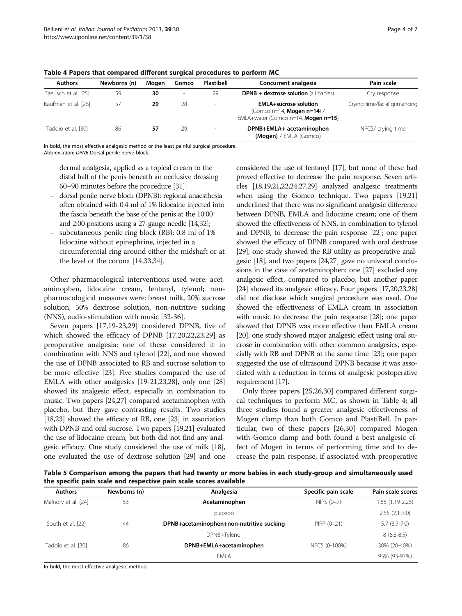| <b>Authors</b>      | Newborns (n) | Moaen | Gomco  | Plastibell | Concurrent analgesia                                                                                         | Pain scale                    |
|---------------------|--------------|-------|--------|------------|--------------------------------------------------------------------------------------------------------------|-------------------------------|
| Taeusch et al. [25] | 59           | 30    | $\sim$ | 29         | <b>DPNB + dextrose solution</b> (all babies)                                                                 | Cry response                  |
| Kaufman et al. [26] | 57           | 29    | 28     | ٠          | <b>EMLA+sucrose solution</b><br>(Gomco n=14, <b>Mogen n=14</b> ) /<br>EMLA+water (Gomco n=14, Mogen $n=15$ ) | Crying time/facial grimancing |
| Taddio et al. [30]  | 86           | 57    | 29     | ٠          | DPNB+EMLA+ acetaminophen<br>$(Mogen) / EMLA$ (Gomco)                                                         | NFCS/ crying time             |

<span id="page-3-0"></span>Table 4 Papers that compared different surgical procedures to perform MC

In bold, the most effective analgesic method or the least painful surgical procedure. Abbreviation: DPNB Dorsal penile nerve block.

dermal analgesia, applied as a topical cream to the distal half of the penis beneath an occlusive dressing 60–90 minutes before the procedure [\[31\]](#page-5-0);

- dorsal penile nerve block (DPNB): regional anaesthesia often obtained with 0.4 ml of 1% lidocaine injected into the fascia beneath the base of the penis at the 10:00 and 2:00 positions using a 27-gauge needle [\[14,32](#page-5-0)];
- subcutaneous penile ring block (RB): 0.8 ml of 1% lidocaine without epinephrine, injected in a circumferential ring around either the midshaft or at the level of the corona [[14,33,34\]](#page-5-0).

Other pharmacological interventions used were: acetaminophen, lidocaine cream, fentanyl, tylenol; nonpharmacological measures were: breast milk, 20% sucrose solution, 50% dextrose solution, non-nutritive sucking (NNS), audio-stimulation with music [[32](#page-5-0)-[36](#page-6-0)].

Seven papers [\[17,19](#page-5-0)-[23,29\]](#page-5-0) considered DPNB, five of which showed the efficacy of DPNB [\[17,20,22,23,29\]](#page-5-0) as preoperative analgesia: one of these considered it in combination with NNS and tylenol [\[22\]](#page-5-0), and one showed the use of DPNB associated to RB and sucrose solution to be more effective [[23](#page-5-0)]. Five studies compared the use of EMLA with other analgesics [\[19-21,23,28\]](#page-5-0), only one [[28](#page-5-0)] showed its analgesic effect, especially in combination to music. Two papers [\[24,27](#page-5-0)] compared acetaminophen with placebo, but they gave contrasting results. Two studies [[18,23\]](#page-5-0) showed the efficacy of RB, one [[23](#page-5-0)] in association with DPNB and oral sucrose. Two papers [\[19,21\]](#page-5-0) evaluated the use of lidocaine cream, but both did not find any analgesic efficacy. One study considered the use of milk [\[18](#page-5-0)], one evaluated the use of dextrose solution [\[29](#page-5-0)] and one

considered the use of fentanyl [[17](#page-5-0)], but none of these had proved effective to decrease the pain response. Seven articles [\[18,19,21,22,24,27,29](#page-5-0)] analyzed analgesic treatments when using the Gomco technique. Two papers [[19,21](#page-5-0)] underlined that there was no significant analgesic difference between DPNB, EMLA and lidocaine cream; one of them showed the effectiveness of NNS, in combination to tylenol and DPNB, to decrease the pain response [\[22\]](#page-5-0); one paper showed the efficacy of DPNB compared with oral dextrose [[29](#page-5-0)]; one study showed the RB utility as preoperative analgesic [[18\]](#page-5-0), and two papers [\[24,27](#page-5-0)] gave no univocal conclusions in the case of acetaminophen: one [\[27](#page-5-0)] excluded any analgesic effect, compared to placebo, but another paper [[24](#page-5-0)] showed its analgesic efficacy. Four papers [\[17,20,23,28](#page-5-0)] did not disclose which surgical procedure was used. One showed the effectiveness of EMLA cream in association with music to decrease the pain response [\[28](#page-5-0)]; one paper showed that DPNB was more effective than EMLA cream [[20](#page-5-0)]; one study showed major analgesic effect using oral sucrose in combination with other common analgesics, especially with RB and DPNB at the same time [\[23\]](#page-5-0); one paper suggested the use of ultrasound DPNB because it was associated with a reduction in terms of analgesic postoperative requirement [[17\]](#page-5-0).

Only three papers [\[25,26,30\]](#page-5-0) compared different surgical techniques to perform MC, as shown in Table 4; all three studies found a greater analgesic effectiveness of Mogen clamp than both Gomco and PlastiBell. In particular, two of these papers [\[26,30](#page-5-0)] compared Mogen with Gomco clamp and both found a best analgesic effect of Mogen in terms of performing time and to decrease the pain response, if associated with preoperative

Table 5 Comparison among the papers that had twenty or more babies in each study-group and simultaneously used the specific pain scale and respective pain scale scores available

| Newborns (n) | Analgesia                                | Specific pain scale | Pain scale scores |
|--------------|------------------------------------------|---------------------|-------------------|
| 53           | Acetaminophen                            | NIPS $(0-7)$        | 1.55 (1.19-2.25)  |
|              | placebo                                  |                     | $2.55(2.1-3.0)$   |
| 44           | DPNB+acetaminophen+non-nutritive sucking | $PIPP (0-21)$       | $5.7(3.7-7.0)$    |
|              | DPNB+Tylenol                             |                     | $8(6.8-8.5)$      |
| 86           | DPNB+EMLA+acetaminophen                  | NFCS (0-100%)       | 30% (20-40%)      |
|              | FMI A                                    |                     | 95% (93-97%)      |
|              |                                          |                     |                   |

In bold, the most effective analgesic method.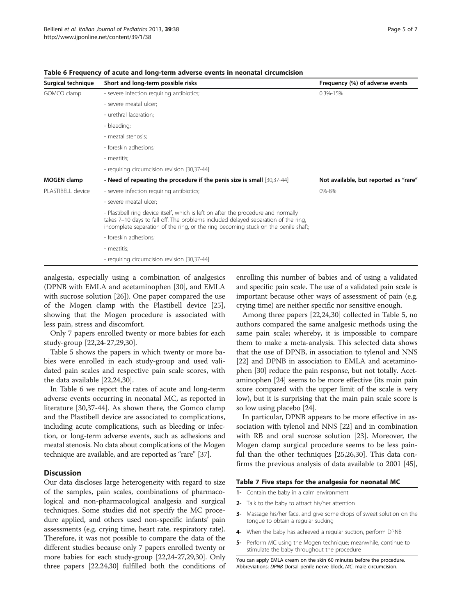| Surgical technique | Short and long-term possible risks                                                                                                                                                                                                                             | Frequency (%) of adverse events       |  |
|--------------------|----------------------------------------------------------------------------------------------------------------------------------------------------------------------------------------------------------------------------------------------------------------|---------------------------------------|--|
| GOMCO clamp        | - severe infection requiring antibiotics;                                                                                                                                                                                                                      | $0.3% - 1.5%$                         |  |
|                    | - severe meatal ulcer;                                                                                                                                                                                                                                         |                                       |  |
|                    | - urethral laceration;                                                                                                                                                                                                                                         |                                       |  |
|                    | - bleeding;                                                                                                                                                                                                                                                    |                                       |  |
|                    | - meatal stenosis;                                                                                                                                                                                                                                             |                                       |  |
|                    | - foreskin adhesions;                                                                                                                                                                                                                                          |                                       |  |
|                    | - meatitis;                                                                                                                                                                                                                                                    |                                       |  |
|                    | - requiring circumcision revision [30,37-44].                                                                                                                                                                                                                  |                                       |  |
| <b>MOGEN</b> clamp | - Need of repeating the procedure if the penis size is small [30,37-44]                                                                                                                                                                                        | Not available, but reported as "rare" |  |
| PLASTIBELL device  | - severe infection requiring antibiotics;                                                                                                                                                                                                                      | 0%-8%                                 |  |
|                    | - severe meatal ulcer;                                                                                                                                                                                                                                         |                                       |  |
|                    | - Plastibell ring device itself, which is left on after the procedure and normally<br>takes 7-10 days to fall off. The problems included delayed separation of the ring,<br>incomplete separation of the ring, or the ring becoming stuck on the penile shaft; |                                       |  |
|                    | - foreskin adhesions;                                                                                                                                                                                                                                          |                                       |  |
|                    | - meatitis;                                                                                                                                                                                                                                                    |                                       |  |
|                    | - requiring circumcision revision [30,37-44].                                                                                                                                                                                                                  |                                       |  |

<span id="page-4-0"></span>Table 6 Frequency of acute and long-term adverse events in neonatal circumcision

analgesia, especially using a combination of analgesics (DPNB with EMLA and acetaminophen [[30\]](#page-5-0), and EMLA with sucrose solution [\[26\]](#page-5-0)). One paper compared the use of the Mogen clamp with the Plastibell device [\[25](#page-5-0)], showing that the Mogen procedure is associated with less pain, stress and discomfort.

Only 7 papers enrolled twenty or more babies for each study-group [\[22,24](#page-5-0)-[27](#page-5-0),[29](#page-5-0),[30](#page-5-0)].

Table [5](#page-3-0) shows the papers in which twenty or more babies were enrolled in each study-group and used validated pain scales and respective pain scale scores, with the data available [[22,24,30](#page-5-0)].

In Table 6 we report the rates of acute and long-term adverse events occurring in neonatal MC, as reported in literature [[30,](#page-5-0)[37-44\]](#page-6-0). As shown there, the Gomco clamp and the Plastibell device are associated to complications, including acute complications, such as bleeding or infection, or long-term adverse events, such as adhesions and meatal stenosis. No data about complications of the Mogen technique are available, and are reported as "rare" [\[37](#page-6-0)].

# **Discussion**

Our data discloses large heterogeneity with regard to size of the samples, pain scales, combinations of pharmacological and non-pharmacological analgesia and surgical techniques. Some studies did not specify the MC procedure applied, and others used non-specific infants' pain assessments (e.g. crying time, heart rate, respiratory rate). Therefore, it was not possible to compare the data of the different studies because only 7 papers enrolled twenty or more babies for each study-group [[22,24](#page-5-0)-[27,29,30\]](#page-5-0). Only three papers [\[22,24,30](#page-5-0)] fulfilled both the conditions of enrolling this number of babies and of using a validated and specific pain scale. The use of a validated pain scale is important because other ways of assessment of pain (e.g. crying time) are neither specific nor sensitive enough.

Among three papers [[22,24,30\]](#page-5-0) collected in Table [5,](#page-3-0) no authors compared the same analgesic methods using the same pain scale; whereby, it is impossible to compare them to make a meta-analysis. This selected data shows that the use of DPNB, in association to tylenol and NNS [[22](#page-5-0)] and DPNB in association to EMLA and acetaminophen [\[30\]](#page-5-0) reduce the pain response, but not totally. Acetaminophen [\[24\]](#page-5-0) seems to be more effective (its main pain score compared with the upper limit of the scale is very low), but it is surprising that the main pain scale score is so low using placebo [\[24\]](#page-5-0).

In particular, DPNB appears to be more effective in association with tylenol and NNS [\[22](#page-5-0)] and in combination with RB and oral sucrose solution [[23\]](#page-5-0). Moreover, the Mogen clamp surgical procedure seems to be less painful than the other techniques [\[25,26,30](#page-5-0)]. This data confirms the previous analysis of data available to 2001 [\[45](#page-6-0)],

### Table 7 Five steps for the analgesia for neonatal MC

- 1- Contain the baby in a calm environment
- 2- Talk to the baby to attract his/her attention
- 3- Massage his/her face, and give some drops of sweet solution on the tongue to obtain a regular sucking
- 4- When the baby has achieved a regular suction, perform DPNB
- 5- Perform MC using the Mogen technique; meanwhile, continue to stimulate the baby throughout the procedure

You can apply EMLA cream on the skin 60 minutes before the procedure. Abbreviations: DPNB Dorsal penile nerve block, MC: male circumcision.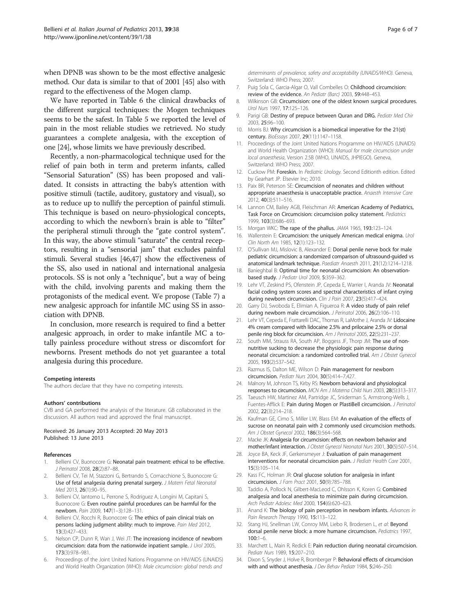<span id="page-5-0"></span>when DPNB was shown to be the most effective analgesic method. Our data is similar to that of 2001 [\[45](#page-6-0)] also with regard to the effectiveness of the Mogen clamp.

We have reported in Table [6](#page-4-0) the clinical drawbacks of the different surgical techniques: the Mogen techniques seems to be the safest. In Table [5](#page-3-0) we reported the level of pain in the most reliable studies we retrieved. No study guarantees a complete analgesia, with the exception of one [24], whose limits we have previously described.

Recently, a non-pharmacological technique used for the relief of pain both in term and preterm infants, called "Sensorial Saturation" (SS) has been proposed and validated. It consists in attracting the baby's attention with positive stimuli (tactile, auditory, gustatory and visual), so as to reduce up to nullify the perception of painful stimuli. This technique is based on neuro-physiological concepts, according to which the newborn's brain is able to "filter" the peripheral stimuli through the "gate control system". In this way, the above stimuli "saturate" the central receptors, resulting in a "sensorial jam" that excludes painful stimuli. Several studies [\[46,47](#page-6-0)] show the effectiveness of the SS, also used in national and international analgesia protocols. SS is not only a "technique", but a way of being with the child, involving parents and making them the protagonists of the medical event. We propose (Table [7](#page-4-0)) a new analgesic approach for infantile MC using SS in association with DPNB.

In conclusion, more research is required to find a better analgesic approach, in order to make infantile MC a totally painless procedure without stress or discomfort for newborns. Present methods do not yet guarantee a total analgesia during this procedure.

#### Competing interests

The authors declare that they have no competing interests.

#### Authors' contributions

CVB and GA performed the analysis of the literature. GB collaborated in the discussion. All authors read and approved the final manuscript.

#### Received: 26 January 2013 Accepted: 20 May 2013 Published: 13 June 2013

#### References

- 1. Bellieni CV, Buonocore G: Neonatal pain treatment: ethical to be effective. J Perinatol 2008, 28(2):87–88.
- 2. Bellieni CV, Tei M, Stazzoni G, Bertrando S, Cornacchione S, Buonocore G: Use of fetal analgesia during prenatal surgery. J Matern Fetal Neonatal Med 2013, 26(1):90–95.
- Bellieni CV, Iantorno L, Perrone S, Rodriguez A, Longini M, Capitani S, Buonocore G: Even routine painful procedures can be harmful for the newborn. Pain 2009, 147(1–3):128–131.
- 4. Bellieni CV, Rocchi R, Buonocore G: The ethics of pain clinical trials on persons lacking judgment ability: much to improve. Pain Med 2012, 13(3):427–433.
- Nelson CP, Dunn R, Wan J, Wei JT: The increasiong incidence of newborn circumcision: data from the nationwide inpatient sample. J Urol 2005, 173(3):978–981.
- 6. Proceedings of the Joint United Nations Programme on HIV/AIDS (UNAIDS) and World Health Organization (WHO): Male circumcision: global trends and

determinants of prevalence, safety and acceptability (UNAIDS/WHO). Geneva, Switzerland: WHO Press; 2007.

- 7. Puig Sola C, Garcia-Algar O, Vall Combelles O: Childhood circumcision: review of the evidence. An Pediatr (Barc) 2003, 59:448–453.
- 8. Wilkinson GB: Circumcision: one of the oldest known surgical procedures. Urol Nurs 1997, 17:125–126.
- 9. Parigi GB: Destiny of prepuce between Quran and DRG. Pediatr Med Chir 2003, 25:96–100.
- 10. Morris BJ: Why circumcision is a biomedical imperative for the 21(st) century. BioEssays 2007, 29(11):1147–1158.
- 11. Proceedings of the Joint United Nations Programme on HIV/AIDS (UNAIDS) and World Health Organization (WHO): Manual for male circumcision under local anaesthesia, Version 2.5B (WHO, UNAIDS, JHPIEGO). Geneva, Switzerland: WHO Press; 2007.
- 12. Cuckow PM: Foreskin. In Pediatric Urology. Second Editionth edition. Edited by Gearhart JP. Elsevier Inc; 2010.
- 13. Paix BR, Peterson SE: Circumcision of neonates and children without appropriate anaesthesia is unacceptable practice. Anaesth Intensive Care 2012, 40(3):511–516.
- 14. Lannon CM, Bailey AGB, Fleischman AR: American Academy of Pediatrics, Task Force on Circumcision: circumcision policy statement. Pediatrics 1999, 103(3):686–693.
- 15. Morgan WKC: The rape of the phallus. JAMA 1965, 193:123–124.
- 16. Wallerstein E: Circumcision: the uniquely American medical enigma. Urol Clin North Am 1985, 12(1):123–132.
- 17. O'Sullivan MJ, Mislovic B, Alexander E: Dorsal penile nerve bock for male pediatric circumcision: a randomized comparison of ultrasound-guided vs anatomical landmark technique. Paediatr Anaesth 2011, 21(12):1214–1218.
- 18. Banieghbal B: Optimal time for neonatal circumcision: An observationbased study. J Pediatr Urol 2009, 5:359–362.
- 19. Lehr VT, Zeskind PS, Ofenstein JP, Cepeda E, Warrier I, Aranda JV: Neonatal facial coding system scores and spectral characteristics of infant crying during newborn circumcision. Clin J Pain 2007, 23(5):417-424.
- 20. Garry DJ, Swoboda E, Elimian A, Figueroa R: A video study of pain relief during newborn male circumcision. J Perinatol 2006, 26(2):106-110.
- 21. Lehr VT, Cepeda E, Frattarelli DAC, Thomas R, LaMothe J, Aranda JV: Lidocaine 4% cream compared with lidocaine 2.5% and prilocaine 2.5% or dorsal penile ring block for circumcision. Am J Perinatol 2005, 22(5):231-237.
- 22. South MM, Strauss RA, South AP, Boggess JF, Thorp JM: The use of nonnutritive sucking to decrease the physiologic pain response during neonatal circumcision: a randomized controlled trial. Am J Obstet Gynecol 2005, 193(2):537–542.
- 23. Razmus IS, Dalton ME, Wilson D: Pain management for newborn circumcision. Pediatr Nurs 2004, 30(5):414–7,427.
- 24. Malnory M, Johnson TS, Kirby RS: Newborn behavioral and physiological responses to circumcision. MCN Am J Materna Child Nurs 2003, 28(5):313–317.
- 25. Taeusch HW, Martinez AM, Partridge JC, Sniderman S, Armstrong-Wells J, Fuentes-Afflick E: Pain during Mogen or PlastiBell circumcision. J Perinatol 2002, 22(3):214–218.
- 26. Kaufman GE, Cimo S, Miller LW, Blass EM: An evaluation of the effects of sucrose on neonatal pain with 2 commonly used circumcision methods. Am J Obstet Gynecol 2002, 186(3):564–568.
- 27. Macke JK: Analgesia for circumcision: effects on newborn behavior and mother/infant interaction. J Obstet Gynecol Neonatal Nurs 2001, 30(5):507–514.
- 28. Joyce BA, Keck JF, Gerkensmeyer J: Evaluation of pain management interventions for neonatal circumcision pain. J Pediatr Health Care 2001, 15(3):105–114.
- 29. Kass FC, Holman JR: Oral glucose solution for analgesia in infant circumcision. J Fam Pract 2001, 50(9):785–788.
- 30. Taddio A, Pollock N, Gilbert-MacLeod C, Ohlsson K, Koren G: Combined analgesia and local anesthesia to minimize pain during circumcision. Arch Pediatr Adolesc Med 2000, 154(6):620–623.
- 31. Anand K: The biology of pain perception in newborn infants. Advances in Pain Research Therapy 1990, 15:113-122.
- 32. Stang HJ, Snellman LW, Conroy MM, Liebo R, Brodersen L, et al: Beyond dorsal penile nerve block: a more humane circumcison. Pediatrics 1997, 100:1–6.
- 33. Marchett L, Main R, Redick E: Pain reduction during neonatal circumcision. Pediatr Nurs 1989, 15:207–210.
- 34. Dixon S, Snyder J, Holve R, Bromberger P: Behavioral effects of circumcision with and without anesthesia. J Dev Behav Pediatr 1984, 5:246–250.